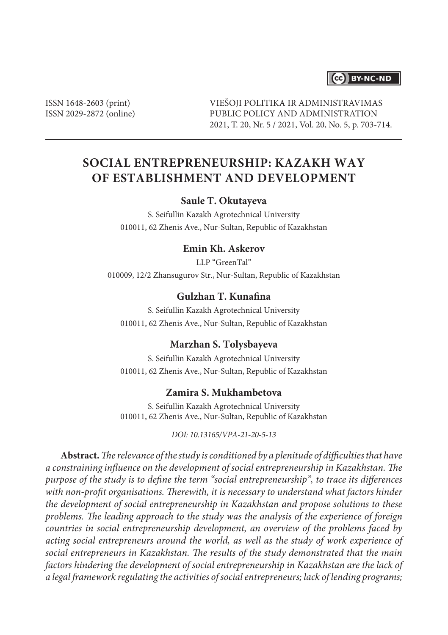# CC BY-NC-ND

ISSN 1648-2603 (print) ISSN 2029-2872 (online) VIEŠOJI POLITIKA IR ADMINISTRAVIMAS PUBLIC POLICY AND ADMINISTRATION 2021, T. 20, Nr. 5 / 2021, Vol. 20, No. 5, p. 703-714.

# **SOCIAL ENTREPRENEURSHIP: KAZAKH WAY OF ESTABLISHMENT AND DEVELOPMENT**

### **Saule T. Okutayeva**

S. Seifullin Kazakh Agrotechnical University 010011, 62 Zhenis Ave., Nur-Sultan, Republic of Kazakhstan

### **Emin Kh. Askerov**

LLP "GreenTal" 010009, 12/2 Zhansugurov Str., Nur-Sultan, Republic of Kazakhstan

# **Gulzhan T. Kunafina**

S. Seifullin Kazakh Agrotechnical University 010011, 62 Zhenis Ave., Nur-Sultan, Republic of Kazakhstan

#### **Marzhan S. Tolysbayeva**

S. Seifullin Kazakh Agrotechnical University 010011, 62 Zhenis Ave., Nur-Sultan, Republic of Kazakhstan

### **Zamira S. Mukhambetova**

S. Seifullin Kazakh Agrotechnical University 010011, 62 Zhenis Ave., Nur-Sultan, Republic of Kazakhstan

*DOI: 10.13165/VPA-21-20-5-13*

**Abstract.** *The relevance of the study is conditioned by a plenitude of difficulties that have a constraining influence on the development of social entrepreneurship in Kazakhstan. The purpose of the study is to define the term "social entrepreneurship", to trace its differences*  with non-profit organisations. Therewith, it is necessary to understand what factors hinder *the development of social entrepreneurship in Kazakhstan and propose solutions to these problems. The leading approach to the study was the analysis of the experience of foreign countries in social entrepreneurship development, an overview of the problems faced by acting social entrepreneurs around the world, as well as the study of work experience of social entrepreneurs in Kazakhstan. The results of the study demonstrated that the main factors hindering the development of social entrepreneurship in Kazakhstan are the lack of a legal framework regulating the activities of social entrepreneurs; lack of lending programs;*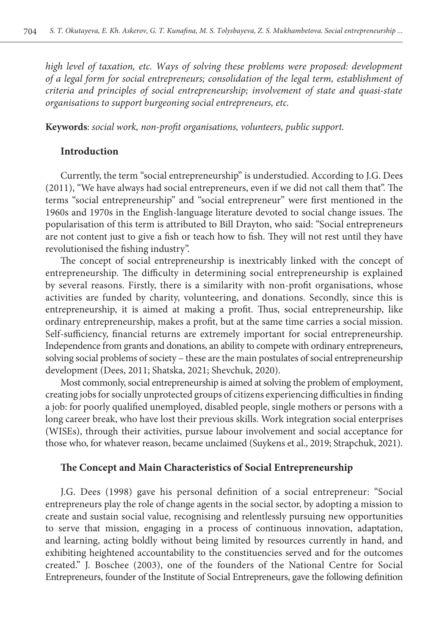*high level of taxation, etc. Ways of solving these problems were proposed: development of a legal form for social entrepreneurs; consolidation of the legal term, establishment of criteria and principles of social entrepreneurship; involvement of state and quasi-state organisations to support burgeoning social entrepreneurs, etc.*

**Keywords**: *social work, non-profit organisations, volunteers, public support.*

### **Introduction**

Currently, the term "social entrepreneurship" is understudied. According to J.G. Dees (2011), "We have always had social entrepreneurs, even if we did not call them that". The terms "social entrepreneurship" and "social entrepreneur" were first mentioned in the 1960s and 1970s in the English-language literature devoted to social change issues. The popularisation of this term is attributed to Bill Drayton, who said: "Social entrepreneurs are not content just to give a fish or teach how to fish. They will not rest until they have revolutionised the fishing industry".

The concept of social entrepreneurship is inextricably linked with the concept of entrepreneurship. The difficulty in determining social entrepreneurship is explained by several reasons. Firstly, there is a similarity with non-profit organisations, whose activities are funded by charity, volunteering, and donations. Secondly, since this is entrepreneurship, it is aimed at making a profit. Thus, social entrepreneurship, like ordinary entrepreneurship, makes a profit, but at the same time carries a social mission. Self-sufficiency, financial returns are extremely important for social entrepreneurship. Independence from grants and donations, an ability to compete with ordinary entrepreneurs, solving social problems of society – these are the main postulates of social entrepreneurship development (Dees, 2011; Shatska, 2021; Shevchuk, 2020).

Most commonly, social entrepreneurship is aimed at solving the problem of employment, creating jobs for socially unprotected groups of citizens experiencing difficulties in finding a job: for poorly qualified unemployed, disabled people, single mothers or persons with a long career break, who have lost their previous skills. Work integration social enterprises (WISEs), through their activities, pursue labour involvement and social acceptance for those who, for whatever reason, became unclaimed (Suykens et al., 2019; Strapchuk, 2021).

#### **The Concept and Main Characteristics of Social Entrepreneurship**

J.G. Dees (1998) gave his personal definition of a social entrepreneur: "Social entrepreneurs play the role of change agents in the social sector, by adopting a mission to create and sustain social value, recognising and relentlessly pursuing new opportunities to serve that mission, engaging in a process of continuous innovation, adaptation, and learning, acting boldly without being limited by resources currently in hand, and exhibiting heightened accountability to the constituencies served and for the outcomes created." J. Boschee (2003), one of the founders of the National Centre for Social Entrepreneurs, founder of the Institute of Social Entrepreneurs, gave the following definition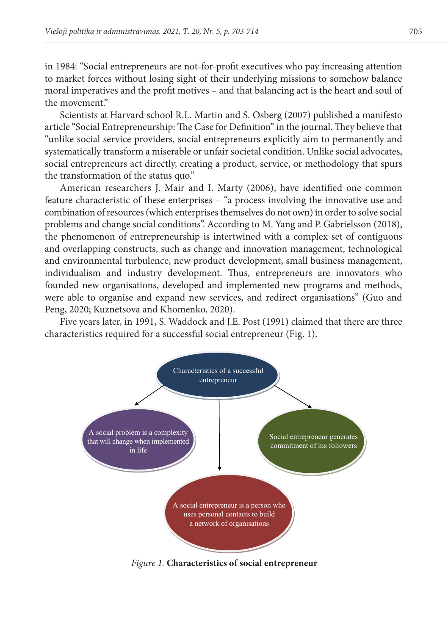in 1984: "Social entrepreneurs are not-for-profit executives who pay increasing attention to market forces without losing sight of their underlying missions to somehow balance moral imperatives and the profit motives – and that balancing act is the heart and soul of the movement."

Scientists at Harvard school R.L. Martin and S. Osberg (2007) published a manifesto article "Social Entrepreneurship: The Case for Definition" in the journal. They believe that "unlike social service providers, social entrepreneurs explicitly aim to permanently and systematically transform a miserable or unfair societal condition. Unlike social advocates, social entrepreneurs act directly, creating a product, service, or methodology that spurs the transformation of the status quo."

American researchers J. Mair and I. Marty (2006), have identified one common feature characteristic of these enterprises – "a process involving the innovative use and combination of resources (which enterprises themselves do not own) in order to solve social problems and change social conditions". According to M. Yang and P. Gabrielsson (2018), the phenomenon of entrepreneurship is intertwined with a complex set of contiguous and overlapping constructs, such as change and innovation management, technological and environmental turbulence, new product development, small business management, individualism and industry development. Thus, entrepreneurs are innovators who founded new organisations, developed and implemented new programs and methods, were able to organise and expand new services, and redirect organisations" (Guo and Peng, 2020; Kuznetsova and Khomenko, 2020).

Five years later, in 1991, S. Waddock and J.E. Post (1991) claimed that there are three characteristics required for a successful social entrepreneur (Fig. 1).



*Figure 1.* **Characteristics of social entrepreneur**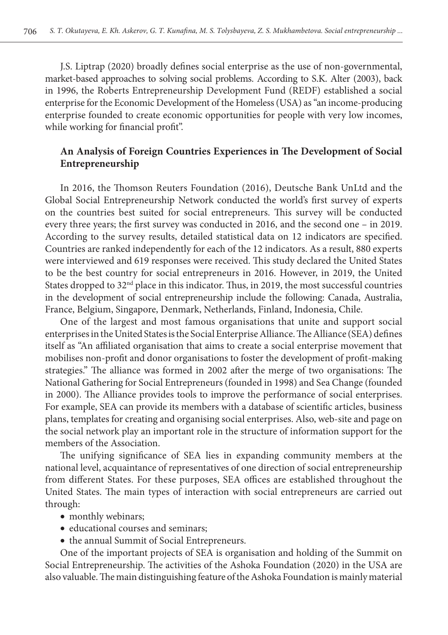J.S. Liptrap (2020) broadly defines social enterprise as the use of non-governmental, market-based approaches to solving social problems. According to S.K. Alter (2003), back in 1996, the Roberts Entrepreneurship Development Fund (REDF) established a social enterprise for the Economic Development of the Homeless (USA) as "an income-producing enterprise founded to create economic opportunities for people with very low incomes, while working for financial profit".

## **An Analysis of Foreign Countries Experiences in The Development of Social Entrepreneurship**

In 2016, the Thomson Reuters Foundation (2016), Deutsche Bank UnLtd and the Global Social Entrepreneurship Network conducted the world's first survey of experts on the countries best suited for social entrepreneurs. This survey will be conducted every three years; the first survey was conducted in 2016, and the second one – in 2019. According to the survey results, detailed statistical data on 12 indicators are specified. Countries are ranked independently for each of the 12 indicators. As a result, 880 experts were interviewed and 619 responses were received. This study declared the United States to be the best country for social entrepreneurs in 2016. However, in 2019, the United States dropped to 32<sup>nd</sup> place in this indicator. Thus, in 2019, the most successful countries in the development of social entrepreneurship include the following: Canada, Australia, France, Belgium, Singapore, Denmark, Netherlands, Finland, Indonesia, Chile.

One of the largest and most famous organisations that unite and support social enterprises in the United States is the Social Enterprise Alliance. The Alliance (SEA) defines itself as "An affiliated organisation that aims to create a social enterprise movement that mobilises non-profit and donor organisations to foster the development of profit-making strategies." The alliance was formed in 2002 after the merge of two organisations: The National Gathering for Social Entrepreneurs (founded in 1998) and Sea Change (founded in 2000). The Alliance provides tools to improve the performance of social enterprises. For example, SEA can provide its members with a database of scientific articles, business plans, templates for creating and organising social enterprises. Also, web-site and page on the social network play an important role in the structure of information support for the members of the Association.

The unifying significance of SEA lies in expanding community members at the national level, acquaintance of representatives of one direction of social entrepreneurship from different States. For these purposes, SEA offices are established throughout the United States. The main types of interaction with social entrepreneurs are carried out through:

- monthly webinars;
- educational courses and seminars;
- the annual Summit of Social Entrepreneurs.

One of the important projects of SEA is organisation and holding of the Summit on Social Entrepreneurship. The activities of the Ashoka Foundation (2020) in the USA are also valuable. The main distinguishing feature of the Ashoka Foundation is mainly material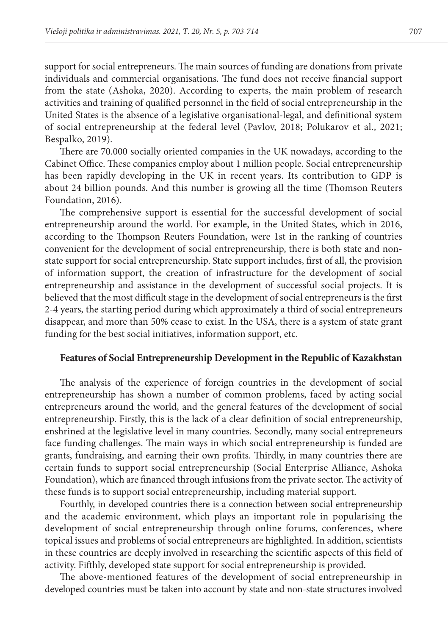support for social entrepreneurs. The main sources of funding are donations from private individuals and commercial organisations. The fund does not receive financial support from the state (Ashoka, 2020). According to experts, the main problem of research activities and training of qualified personnel in the field of social entrepreneurship in the United States is the absence of a legislative organisational-legal, and definitional system of social entrepreneurship at the federal level (Pavlov, 2018; Polukarov et al., 2021; Bespalko, 2019).

There are 70.000 socially oriented companies in the UK nowadays, according to the Cabinet Office. These companies employ about 1 million people. Social entrepreneurship has been rapidly developing in the UK in recent years. Its contribution to GDP is about 24 billion pounds. And this number is growing all the time (Thomson Reuters Foundation, 2016).

The comprehensive support is essential for the successful development of social entrepreneurship around the world. For example, in the United States, which in 2016, according to the Thompson Reuters Foundation, were 1st in the ranking of countries convenient for the development of social entrepreneurship, there is both state and nonstate support for social entrepreneurship. State support includes, first of all, the provision of information support, the creation of infrastructure for the development of social entrepreneurship and assistance in the development of successful social projects. It is believed that the most difficult stage in the development of social entrepreneurs is the first 2-4 years, the starting period during which approximately a third of social entrepreneurs disappear, and more than 50% cease to exist. In the USA, there is a system of state grant funding for the best social initiatives, information support, etc.

#### **Features of Social Entrepreneurship Development in the Republic of Kazakhstan**

The analysis of the experience of foreign countries in the development of social entrepreneurship has shown a number of common problems, faced by acting social entrepreneurs around the world, and the general features of the development of social entrepreneurship. Firstly, this is the lack of a clear definition of social entrepreneurship, enshrined at the legislative level in many countries. Secondly, many social entrepreneurs face funding challenges. The main ways in which social entrepreneurship is funded are grants, fundraising, and earning their own profits. Thirdly, in many countries there are certain funds to support social entrepreneurship (Social Enterprise Alliance, Ashoka Foundation), which are financed through infusions from the private sector. The activity of these funds is to support social entrepreneurship, including material support.

Fourthly, in developed countries there is a connection between social entrepreneurship and the academic environment, which plays an important role in popularising the development of social entrepreneurship through online forums, conferences, where topical issues and problems of social entrepreneurs are highlighted. In addition, scientists in these countries are deeply involved in researching the scientific aspects of this field of activity. Fifthly, developed state support for social entrepreneurship is provided.

The above-mentioned features of the development of social entrepreneurship in developed countries must be taken into account by state and non-state structures involved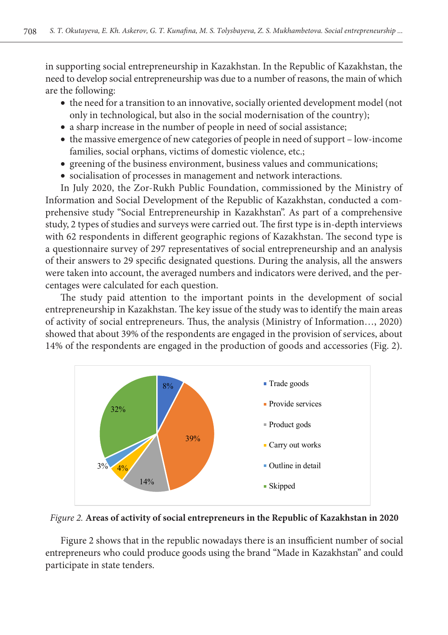in supporting social entrepreneurship in Kazakhstan. In the Republic of Kazakhstan, the need to develop social entrepreneurship was due to a number of reasons, the main of which are the following:

- the need for a transition to an innovative, socially oriented development model (not only in technological, but also in the social modernisation of the country);
- a sharp increase in the number of people in need of social assistance;
- the massive emergence of new categories of people in need of support low-income families, social orphans, victims of domestic violence, etc.;
- greening of the business environment, business values and communications;
- socialisation of processes in management and network interactions.

In July 2020, the Zor-Rukh Public Foundation, commissioned by the Ministry of Information and Social Development of the Republic of Kazakhstan, conducted a comprehensive study "Social Entrepreneurship in Kazakhstan". As part of a comprehensive study, 2 types of studies and surveys were carried out. The first type is in-depth interviews with 62 respondents in different geographic regions of Kazakhstan. The second type is a questionnaire survey of 297 representatives of social entrepreneurship and an analysis of their answers to 29 specific designated questions. During the analysis, all the answers were taken into account, the averaged numbers and indicators were derived, and the percentages were calculated for each question.

The study paid attention to the important points in the development of social entrepreneurship in Kazakhstan. The key issue of the study was to identify the main areas of activity of social entrepreneurs. Thus, the analysis (Ministry of Information…, 2020) showed that about 39% of the respondents are engaged in the provision of services, about 14% of the respondents are engaged in the production of goods and accessories (Fig. 2).



*Figure 2.* **Areas of activity of social entrepreneurs in the Republic of Kazakhstan in 2020**

Figure 2 shows that in the republic nowadays there is an insufficient number of social entrepreneurs who could produce goods using the brand "Made in Kazakhstan" and could participate in state tenders.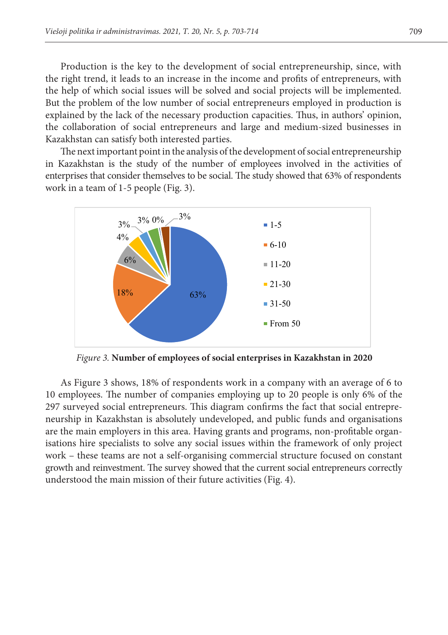Production is the key to the development of social entrepreneurship, since, with the right trend, it leads to an increase in the income and profits of entrepreneurs, with the help of which social issues will be solved and social projects will be implemented. But the problem of the low number of social entrepreneurs employed in production is explained by the lack of the necessary production capacities. Thus, in authors' opinion, the collaboration of social entrepreneurs and large and medium-sized businesses in Kazakhstan can satisfy both interested parties.

The next important point in the analysis of the development of social entrepreneurship in Kazakhstan is the study of the number of employees involved in the activities of enterprises that consider themselves to be social. The study showed that 63% of respondents work in a team of 1-5 people (Fig. 3).



*Figure 3.* **Number of employees of social enterprises in Kazakhstan in 2020**

As Figure 3 shows, 18% of respondents work in a company with an average of 6 to 10 employees. The number of companies employing up to 20 people is only 6% of the 297 surveyed social entrepreneurs. This diagram confirms the fact that social entrepreneurship in Kazakhstan is absolutely undeveloped, and public funds and organisations are the main employers in this area. Having grants and programs, non-profitable organisations hire specialists to solve any social issues within the framework of only project work – these teams are not a self-organising commercial structure focused on constant growth and reinvestment. The survey showed that the current social entrepreneurs correctly understood the main mission of their future activities (Fig. 4).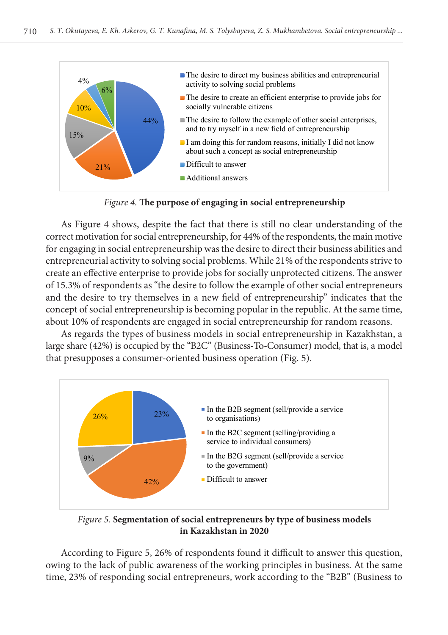

*Figure 4.* **The purpose of engaging in social entrepreneurship**

As Figure 4 shows, despite the fact that there is still no clear understanding of the correct motivation for social entrepreneurship, for 44% of the respondents, the main motive for engaging in social entrepreneurship was the desire to direct their business abilities and entrepreneurial activity to solving social problems. While 21% of the respondents strive to create an effective enterprise to provide jobs for socially unprotected citizens. The answer of 15.3% of respondents as "the desire to follow the example of other social entrepreneurs and the desire to try themselves in a new field of entrepreneurship" indicates that the concept of social entrepreneurship is becoming popular in the republic. At the same time, about 10% of respondents are engaged in social entrepreneurship for random reasons.

As regards the types of business models in social entrepreneurship in Kazakhstan, a large share (42%) is occupied by the "B2C" (Business-To-Consumer) model, that is, a model that presupposes a consumer-oriented business operation (Fig. 5).



*Figure 5.* **Segmentation of social entrepreneurs by type of business models in Kazakhstan in 2020**

According to Figure 5, 26% of respondents found it difficult to answer this question, owing to the lack of public awareness of the working principles in business. At the same time, 23% of responding social entrepreneurs, work according to the "B2B" (Business to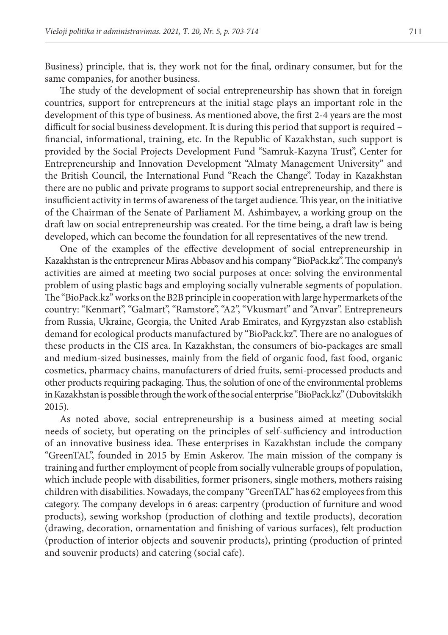Business) principle, that is, they work not for the final, ordinary consumer, but for the same companies, for another business.

The study of the development of social entrepreneurship has shown that in foreign countries, support for entrepreneurs at the initial stage plays an important role in the development of this type of business. As mentioned above, the first 2-4 years are the most difficult for social business development. It is during this period that support is required – financial, informational, training, etc. In the Republic of Kazakhstan, such support is provided by the Social Projects Development Fund "Samruk-Kazyna Trust", Center for Entrepreneurship and Innovation Development "Almaty Management University" and the British Council, the International Fund "Reach the Change". Today in Kazakhstan there are no public and private programs to support social entrepreneurship, and there is insufficient activity in terms of awareness of the target audience. This year, on the initiative of the Chairman of the Senate of Parliament M. Ashimbayev, a working group on the draft law on social entrepreneurship was created. For the time being, a draft law is being developed, which can become the foundation for all representatives of the new trend.

One of the examples of the effective development of social entrepreneurship in Kazakhstan is the entrepreneur Miras Abbasov and his company "BioPack.kz". The company's activities are aimed at meeting two social purposes at once: solving the environmental problem of using plastic bags and employing socially vulnerable segments of population. The "BioPack.kz" works on the B2B principle in cooperation with large hypermarkets of the country: "Kenmart", "Galmart", "Ramstore", "A2", "Vkusmart" and "Anvar". Entrepreneurs from Russia, Ukraine, Georgia, the United Arab Emirates, and Kyrgyzstan also establish demand for ecological products manufactured by "BioPack.kz". There are no analogues of these products in the CIS area. In Kazakhstan, the consumers of bio-packages are small and medium-sized businesses, mainly from the field of organic food, fast food, organic cosmetics, pharmacy chains, manufacturers of dried fruits, semi-processed products and other products requiring packaging. Thus, the solution of one of the environmental problems in Kazakhstan is possible through the work of the social enterprise "BioPack.kz" (Dubovitskikh 2015).

As noted above, social entrepreneurship is a business aimed at meeting social needs of society, but operating on the principles of self-sufficiency and introduction of an innovative business idea. These enterprises in Kazakhstan include the company "GreenTAL", founded in 2015 by Emin Askerov. The main mission of the company is training and further employment of people from socially vulnerable groups of population, which include people with disabilities, former prisoners, single mothers, mothers raising children with disabilities. Nowadays, the company "GreenTAL" has 62 employees from this category. The company develops in 6 areas: carpentry (production of furniture and wood products), sewing workshop (production of clothing and textile products), decoration (drawing, decoration, ornamentation and finishing of various surfaces), felt production (production of interior objects and souvenir products), printing (production of printed and souvenir products) and catering (social cafe).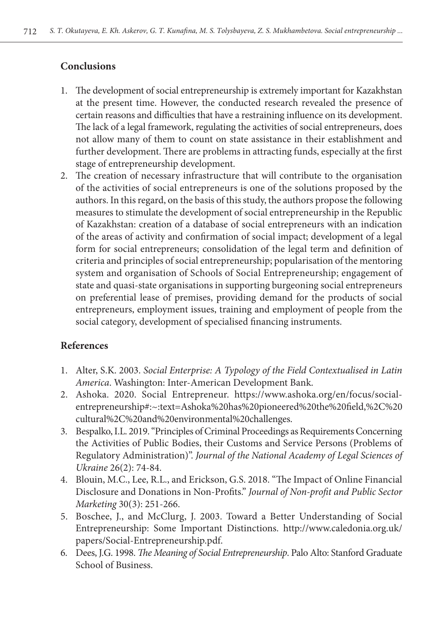# **Conclusions**

- 1. The development of social entrepreneurship is extremely important for Kazakhstan at the present time. However, the conducted research revealed the presence of certain reasons and difficulties that have a restraining influence on its development. The lack of a legal framework, regulating the activities of social entrepreneurs, does not allow many of them to count on state assistance in their establishment and further development. There are problems in attracting funds, especially at the first stage of entrepreneurship development.
- 2. The creation of necessary infrastructure that will contribute to the organisation of the activities of social entrepreneurs is one of the solutions proposed by the authors. In this regard, on the basis of this study, the authors propose the following measures to stimulate the development of social entrepreneurship in the Republic of Kazakhstan: creation of a database of social entrepreneurs with an indication of the areas of activity and confirmation of social impact; development of a legal form for social entrepreneurs; consolidation of the legal term and definition of criteria and principles of social entrepreneurship; popularisation of the mentoring system and organisation of Schools of Social Entrepreneurship; engagement of state and quasi-state organisations in supporting burgeoning social entrepreneurs on preferential lease of premises, providing demand for the products of social entrepreneurs, employment issues, training and employment of people from the social category, development of specialised financing instruments.

# **References**

- 1. Alter, S.K. 2003. *Social Enterprise: A Typology of the Field Contextualised in Latin America*. Washington: Inter-American Development Bank.
- 2. Ashoka. 2020. Social Entrepreneur. https://www.ashoka.org/en/focus/socialentrepreneurship#:~:text=Ashoka%20has%20pioneered%20the%20field,%2C%20 cultural%2C%20and%20environmental%20challenges.
- 3. Bespalko, I.L. 2019. "Principles of Criminal Proceedings as Requirements Concerning the Activities of Public Bodies, their Customs and Service Persons (Problems of Regulatory Administration)". *Journal of the National Academy of Legal Sciences of Ukraine* 26(2): 74-84.
- 4. Blouin, M.C., Lee, R.L., and Erickson, G.S. 2018. "The Impact of Online Financial Disclosure and Donations in Non-Profits." *Journal of Non-profit and Public Sector Marketing* 30(3): 251-266.
- 5. Boschee, J., and McClurg, J. 2003. Toward a Better Understanding of Social Entrepreneurship: Some Important Distinctions. http://www.caledonia.org.uk/ papers/Social-Entrepreneurship.pdf.
- 6. Dees, J.G. 1998. *The Meaning of Social Entrepreneurship*. Palo Alto: Stanford Graduate School of Business.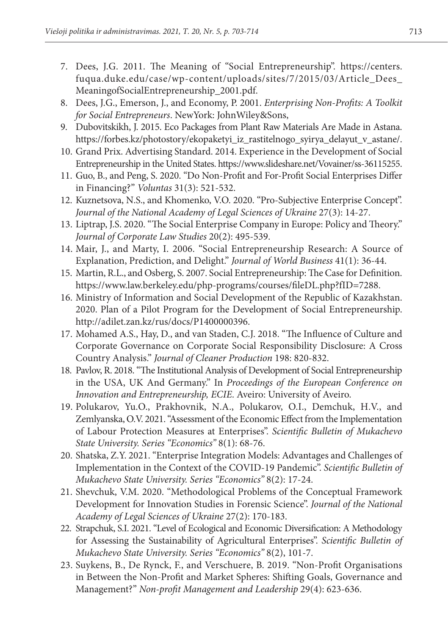- 7. Dees, J.G. 2011. The Meaning of "Social Entrepreneurship". https://centers. fuqua.duke.edu/case/wp-content/uploads/sites/7/2015/03/Article\_Dees\_ MeaningofSocialEntrepreneurship\_2001.pdf.
- 8. Dees, J.G., Emerson, J., and Economy, P. 2001. *Enterprising Non-Profits: A Toolkit for Social Entrepreneurs*. NewYork: JohnWiley&Sons,
- 9. Dubovitskikh, J. 2015. Eco Packages from Plant Raw Materials Are Made in Astana. https://forbes.kz/photostory/ekopaketyi\_iz\_rastitelnogo\_syirya\_delayut\_v\_astane/.
- 10. Grand Prix. Advertising Standard. 2014. Experience in the Development of Social Entrepreneurship in the United States. https://www.slideshare.net/Vovainer/ss-36115255.
- 11. Guo, B., and Peng, S. 2020. "Do Non-Profit and For-Profit Social Enterprises Differ in Financing?" *Voluntas* 31(3): 521-532.
- 12. Kuznetsova, N.S., and Khomenko, V.O. 2020. "Pro-Subjective Enterprise Concept". *Journal of the National Academy of Legal Sciences of Ukraine* 27(3): 14-27.
- 13. Liptrap, J.S. 2020. "The Social Enterprise Company in Europe: Policy and Theory." *Journal of Corporate Law Studies* 20(2): 495-539.
- 14. Mair, J., and Marty, I. 2006. "Social Entrepreneurship Research: A Source of Explanation, Prediction, and Delight." *Journal of World Business* 41(1): 36-44.
- 15. Martin, R.L., and Osberg, S. 2007. Social Entrepreneurship: The Case for Definition. https://www.law.berkeley.edu/php-programs/courses/fileDL.php?fID=7288.
- 16. Ministry of Information and Social Development of the Republic of Kazakhstan. 2020. Plan of a Pilot Program for the Development of Social Entrepreneurship. http://adilet.zan.kz/rus/docs/P1400000396.
- 17. Mohamed A.S., Hay, D., and van Staden, C.J. 2018. "The Influence of Culture and Corporate Governance on Corporate Social Responsibility Disclosure: A Cross Country Analysis." *Journal of Cleaner Production* 198: 820-832.
- 18. Pavlov, R. 2018. "The Institutional Analysis of Development of Social Entrepreneurship in the USA, UK And Germany." In *Proceedings of the European Conference on Innovation and Entrepreneurship, ECIE*. Aveiro: University of Aveiro.
- 19. Polukarov, Yu.O., Prakhovnik, N.A., Polukarov, O.I., Demchuk, H.V., and Zemlyanska, O.V. 2021. "Assessment of the Economic Effect from the Implementation of Labour Protection Measures at Enterprises". *Scientific Bulletin of Mukachevo State University. Series "Economics"* 8(1): 68-76.
- 20. Shatska, Z.Y. 2021. "Enterprise Integration Models: Advantages and Challenges of Implementation in the Context of the COVID-19 Pandemic". *Scientific Bulletin of Mukachevo State University. Series "Economics"* 8(2): 17-24.
- 21. Shevchuk, V.M. 2020. "Methodological Problems of the Conceptual Framework Development for Innovation Studies in Forensic Science". *Journal of the National Academy of Legal Sciences of Ukraine* 27(2): 170-183.
- 22. Strapchuk, S.I. 2021. "Level of Ecological and Economic Diversification: A Methodology for Assessing the Sustainability of Agricultural Enterprises". *Scientific Bulletin of Mukachevo State University. Series "Economics"* 8(2), 101-7.
- 23. Suykens, B., De Rynck, F., and Verschuere, B. 2019. "Non-Profit Organisations in Between the Non-Profit and Market Spheres: Shifting Goals, Governance and Management?" *Non-profit Management and Leadership* 29(4): 623-636.